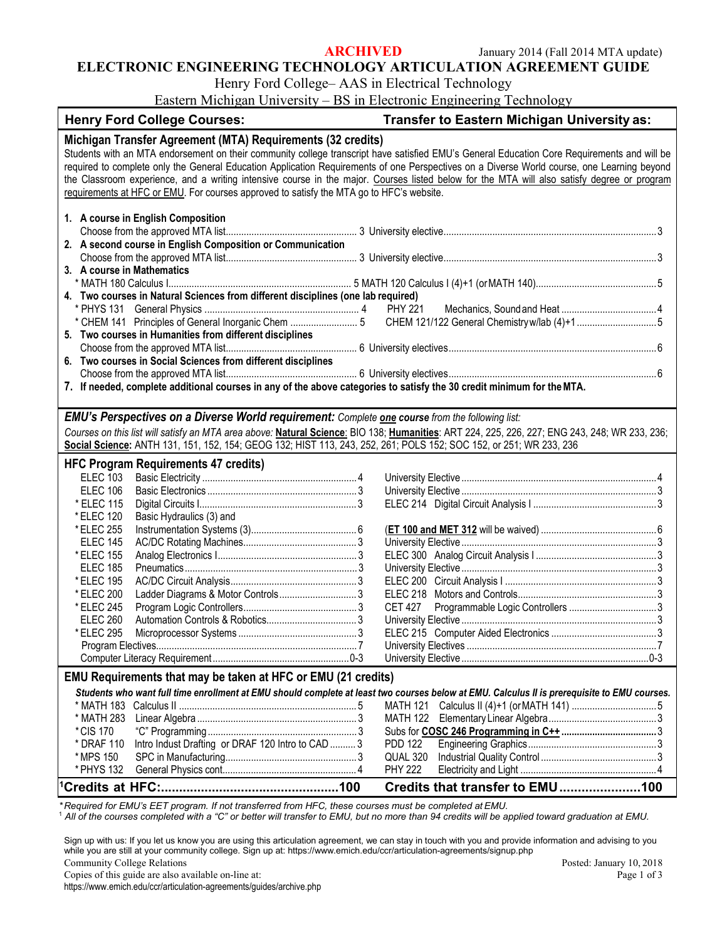**ARCHIVED** January 2014 (Fall 2014 MTA update)

#### **ELECTRONIC ENGINEERING TECHNOLOGY ARTICULATION AGREEMENT GUIDE**

Henry Ford College– AAS in Electrical Technology

Eastern Michigan University – BS in Electronic Engineering Technology

| <b>Henry Ford College Courses:</b>                                                                                                           |  | Transfer to Eastern Michigan University as:                                                                                                   |
|----------------------------------------------------------------------------------------------------------------------------------------------|--|-----------------------------------------------------------------------------------------------------------------------------------------------|
| Michigan Transfer Agreement (MTA) Requirements (32 credits)                                                                                  |  |                                                                                                                                               |
| Students with an MTA endorsement on their community college transcript have satisfied EMU's General Education Core Requirements and will be  |  |                                                                                                                                               |
| required to complete only the General Education Application Requirements of one Perspectives on a Diverse World course, one Learning beyond  |  |                                                                                                                                               |
|                                                                                                                                              |  | the Classroom experience, and a writing intensive course in the major. Courses listed below for the MTA will also satisfy degree or program   |
| requirements at HFC or EMU. For courses approved to satisfy the MTA go to HFC's website.                                                     |  |                                                                                                                                               |
|                                                                                                                                              |  |                                                                                                                                               |
| 1. A course in English Composition                                                                                                           |  |                                                                                                                                               |
|                                                                                                                                              |  |                                                                                                                                               |
| 2. A second course in English Composition or Communication                                                                                   |  |                                                                                                                                               |
| 3. A course in Mathematics                                                                                                                   |  |                                                                                                                                               |
|                                                                                                                                              |  |                                                                                                                                               |
| 4. Two courses in Natural Sciences from different disciplines (one lab required)                                                             |  |                                                                                                                                               |
|                                                                                                                                              |  |                                                                                                                                               |
|                                                                                                                                              |  | * CHEM 141 Principles of General Inorganic Chem 5 CHEM 121/122 General Chemistry w/lab (4)+15                                                 |
| 5. Two courses in Humanities from different disciplines                                                                                      |  |                                                                                                                                               |
|                                                                                                                                              |  |                                                                                                                                               |
| 6. Two courses in Social Sciences from different disciplines                                                                                 |  |                                                                                                                                               |
|                                                                                                                                              |  |                                                                                                                                               |
| 7. If needed, complete additional courses in any of the above categories to satisfy the 30 credit minimum for the MTA.                       |  |                                                                                                                                               |
|                                                                                                                                              |  |                                                                                                                                               |
| <b>EMU's Perspectives on a Diverse World requirement:</b> Complete <b>one course</b> from the following list:                                |  |                                                                                                                                               |
|                                                                                                                                              |  | Courses on this list will satisfy an MTA area above: Natural Science: BIO 138; Humanities: ART 224, 225, 226, 227; ENG 243, 248; WR 233, 236; |
| Social Science: ANTH 131, 151, 152, 154; GEOG 132; HIST 113, 243, 252, 261; POLS 152; SOC 152, or 251; WR 233, 236                           |  |                                                                                                                                               |
| <b>HFC Program Requirements 47 credits)</b>                                                                                                  |  |                                                                                                                                               |
| <b>ELEC 103</b>                                                                                                                              |  |                                                                                                                                               |
| <b>ELEC 106</b>                                                                                                                              |  |                                                                                                                                               |
| * ELEC 115                                                                                                                                   |  |                                                                                                                                               |
| * ELEC 120<br>Basic Hydraulics (3) and                                                                                                       |  |                                                                                                                                               |
| * ELEC 255                                                                                                                                   |  |                                                                                                                                               |
| <b>ELEC 145</b><br>* ELEC 155                                                                                                                |  |                                                                                                                                               |
| <b>ELEC 185</b>                                                                                                                              |  |                                                                                                                                               |
| * ELEC 195                                                                                                                                   |  |                                                                                                                                               |
| * ELEC 200                                                                                                                                   |  |                                                                                                                                               |
| * ELEC 245                                                                                                                                   |  | <b>CET 427</b>                                                                                                                                |
| <b>ELEC 260</b>                                                                                                                              |  |                                                                                                                                               |
| * ELEC 295                                                                                                                                   |  |                                                                                                                                               |
|                                                                                                                                              |  |                                                                                                                                               |
|                                                                                                                                              |  |                                                                                                                                               |
| EMU Requirements that may be taken at HFC or EMU (21 credits)                                                                                |  |                                                                                                                                               |
| Students who want full time enrollment at EMU should complete at least two courses below at EMU. Calculus II is prerequisite to EMU courses. |  |                                                                                                                                               |
|                                                                                                                                              |  | MATH 121                                                                                                                                      |
| * MATH 283                                                                                                                                   |  |                                                                                                                                               |
| *CIS 170                                                                                                                                     |  |                                                                                                                                               |
| Intro Indust Drafting or DRAF 120 Intro to CAD  3<br>* DRAF 110                                                                              |  | <b>PDD 122</b>                                                                                                                                |
| * MPS 150                                                                                                                                    |  | QUAL 320                                                                                                                                      |
| * PHYS 132                                                                                                                                   |  | <b>PHY 222</b>                                                                                                                                |
|                                                                                                                                              |  | Credits that transfer to EMU100                                                                                                               |
|                                                                                                                                              |  |                                                                                                                                               |

*\* Required for EMU's EET program. If not transferred from HFC, these courses must be completed at EMU.*

<sup>1</sup> *All of the courses completed with a "C" or better will transfer to EMU, but no more than 94 credits will be applied toward graduation at EMU.*

Sign up with us: If you let us know you are using this articulation agreement, we can stay in touch with you and provide information and advising to you while you are still at your community college. Sign up at: https://www.emich.edu/ccr/articulation-agreements/signup.php

Community College Relations

Posted: January 10, 2018 Page 1 of 3

Copies of this guide are also available on-line at: https://www.emich.edu/ccr/articulation-agreements/guides/archive.php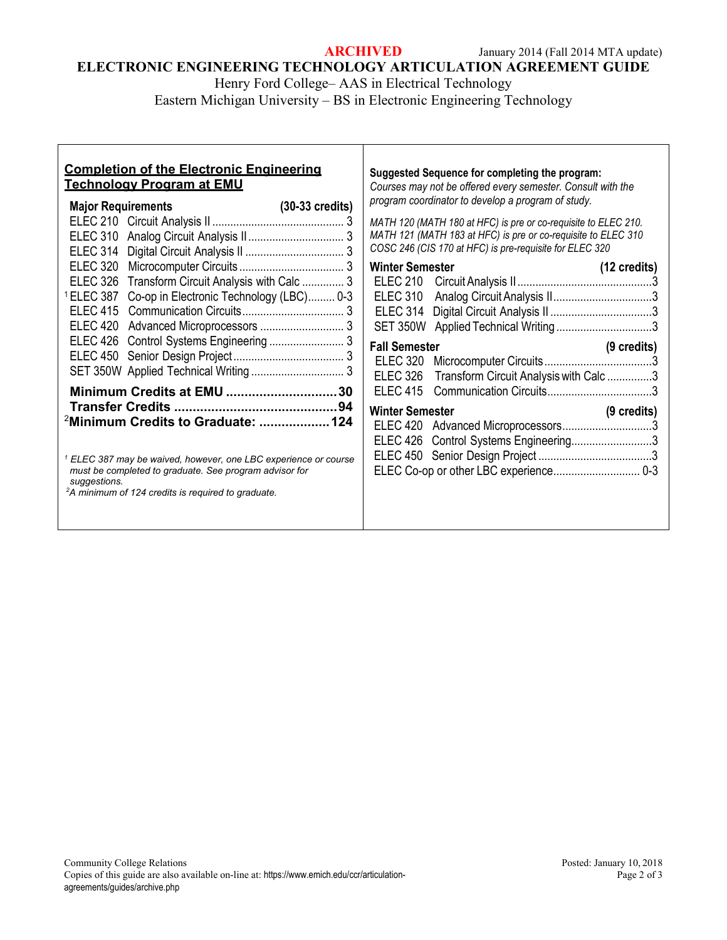**ARCHIVED** January 2014 (Fall 2014 MTA update)

## **ELECTRONIC ENGINEERING TECHNOLOGY ARTICULATION AGREEMENT GUIDE**

Henry Ford College– AAS in Electrical Technology Eastern Michigan University – BS in Electronic Engineering Technology

#### **Completion of the Electronic Engineering Technology Program at EMU Major Requirements (30-33 credits)** ELEC 210 Circuit Analysis II ............................................ 3 ELEC 310 Analog Circuit Analysis II................................ 3 ELEC 314 Digital Circuit Analysis II ................................. 3 ELEC 320 Microcomputer Circuits ................................... 3 ELEC 326 Transform Circuit Analysis with Calc .............. 3 1 ELEC 387 Co-op in Electronic Technology (LBC)......... 0-3 ELEC 415 Communication Circuits.................................. 3 ELEC 420 Advanced Microprocessors ............................ 3 ELEC 426 Control Systems Engineering ......................... 3 ELEC 450 Senior Design Project..................................... 3 SET 350W Applied Technical Writing ............................... 3 **Minimum Credits at EMU ..............................30 Transfer Credits ............................................94** 2 **Minimum Credits to Graduate: ...................124** *<sup>1</sup> ELEC 387 may be waived, however, one LBC experience or course must be completed to graduate. See program advisor for suggestions. 2 A minimum of 124 credits is required to graduate.* **Suggested Sequence for completing the program:** *Courses may not be offered every semester. Consult with the program coordinator to develop a program of study. MATH 120 (MATH 180 at HFC) is pre or co-requisite to ELEC 210. MATH 121 (MATH 183 at HFC) is pre or co-requisite to ELEC 310 COSC 246 (CIS 170 at HFC) is pre-requisite for ELEC 320* **Winter Semester (12 credits)** ELEC 210 Circuit Analysis II.............................................3 ELEC 310 Analog Circuit Analysis II.................................3 ELEC 314 Digital Circuit Analysis II ..................................3 SET 350W Applied Technical Writing .................................3 **Fall Semester (9 credits)** ELEC 320 Microcomputer Circuits....................................3 ELEC 326 Transform Circuit Analysiswith Calc ...............3 ELEC 415 Communication Circuits...................................3 **Winter Semester (9 credits)** ELEC 420 Advanced Microprocessors..............................3 ELEC 426 Control Systems Engineering...........................3 ELEC 450 Senior Design Project ......................................3 ELEC Co-op or other LBC experience............................. 0-3